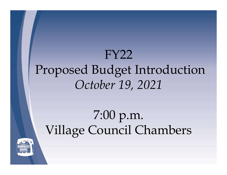#### FY22 Proposed Budget Introduction October 19, 2021

#### 7:00 p.m. Village Council Chambers

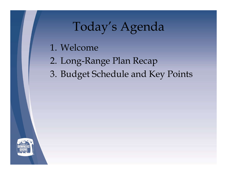#### Today's Agenda

- 
- 1. Welcome<br>2. Long-Range Plan Recap
- Today's Agenda<br>1. Welcome<br>2. Long-Range Plan Recap<br>3. Budget Schedule and Key Points 3. Budget Schedule and Key Points<br>3. Budget Schedule and Key Points<br>3. Budget Schedule and Key Points

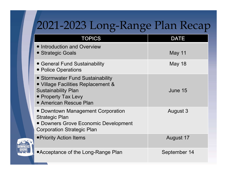#### 2021-2023 Long-Range Plan Recap

| 2021-2023 Long-Range Plan Recap                                                                                                                              |               |
|--------------------------------------------------------------------------------------------------------------------------------------------------------------|---------------|
| <b>TOPICS</b>                                                                                                                                                | <b>DATE</b>   |
| • Introduction and Overview<br>• Strategic Goals                                                                                                             | May 11        |
| • General Fund Sustainability<br>• Police Operations                                                                                                         | <b>May 18</b> |
| • Stormwater Fund Sustainability<br>• Village Facilities Replacement &<br><b>Sustainability Plan</b><br>• Property Tax Levy<br><b>• American Rescue Plan</b> | June 15       |
| • Downtown Management Corporation<br><b>Strategic Plan</b><br>• Downers Grove Economic Development<br><b>Corporation Strategic Plan</b>                      | August 3      |
| ● Priority Action Items                                                                                                                                      | August 17     |
| • Acceptance of the Long-Range Plan                                                                                                                          | September 14  |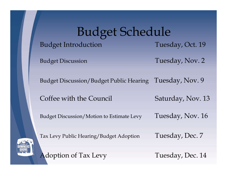# Budget Schedule Budget Schedule<br>Budget Introduction Tuesday, Oct. 19<br>Budget Discussion Tuesday, Nov. 2 **Budget Introduction**<br> **Coffee With the Council Saturday, Nov. 2**<br> **Coffee with the Council Saturday, Nov. 13**<br>
Budget Discussion/Budget Public Hearing Tuesday, Nov. 9<br>
Coffee with the Council Saturday, Nov. 13<br>
Budget Dis

Budget Discussion Tuesday, Nov. 2

Budget Discussion/Budget Public Hearing Tuesday, Nov. 9

Budget Discussion/Motion to Estimate Levy Tuesday, Nov. 16



Tax Levy Public Hearing/Budget Adoption Tuesday, Dec. 7

Adoption of Tax Levy Tuesday, Dec. 14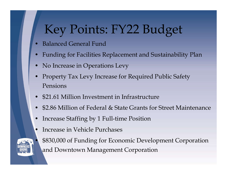## Key Points: FY22 Budget Key Points: FY22 Buoy<br>• Balanced General Fund<br>• Funding for Facilities Replacement and Sus<br>• No Increase in Operations Levy **Example 19 Funding Form Schools**<br>• Balanced General Fund<br>• Funding for Facilities Replacement and Sustainability Plan<br>• No Increase in Operations Levy<br>• Property Tax Levy Increase for Required Public Safety

- 
- 
- 
- Key Points: FY22 Budge<br>• Balanced General Fund<br>• Funding for Facilities Replacement and Sustainab<br>• No Increase in Operations Levy<br>• Property Tax Levy Increase for Required Public Sa<br>Pensions • Balanced General Fund<br>• Balanced General Fund<br>• Funding for Facilities Replacement and Sustainability Plan<br>• No Increase in Operations Levy<br>• Property Tax Levy Increase for Required Public Safety<br>• \$21.61 Million Investm Pensions • Balanced General Fund<br>• Balanced General Fund<br>• Funding for Facilities Replacement and Sustainability Plan<br>• No Increase in Operations Levy<br>• Property Tax Levy Increase for Required Public Safety<br>• S2.61 Million Investme • Balanced General Fund<br>• Funding for Facilities Replacement and Sustainability Plan<br>• No Increase in Operations Levy<br>• Property Tax Levy Increase for Required Public Safety<br>Pensions<br>• \$2.86 Million Investment in Infrastru • Funding for Facilities Replacement and Sustainability Plan<br>• No Increase in Operations Levy<br>• Property Tax Levy Increase for Required Public Safety<br>Pensions<br>• \$21.61 Million Investment in Infrastructure<br>• \$2.86 Million o • No Increase in Operations Levy<br>
• Property Tax Levy Increase for Required Pr<br>
• \$21.61 Million Investment in Infrastructure<br>
• \$2.86 Million of Federal & State Grants for !<br>
• Increase Staffing by 1 Full-time Position<br>
I
- 
- 
- 
- 
- 
- Property Tax Levy Increase for Required Public Safety<br>Pensions<br>• \$21.61 Million Investment in Infrastructure<br>• \$2.86 Million of Federal & State Grants for Street Maintenance<br>• Increase Staffing by 1 Full-time Position<br>In and Downtown Management Corporation